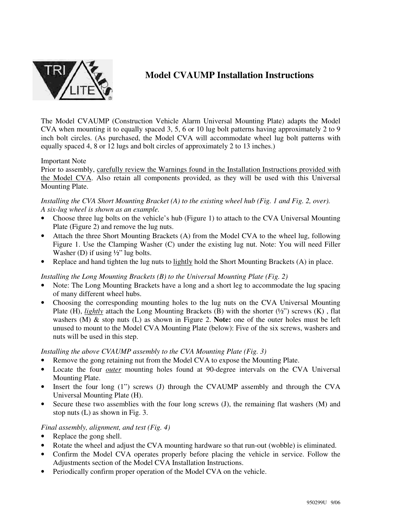

# **Model CVAUMP Installation Instructions**

The Model CVAUMP (Construction Vehicle Alarm Universal Mounting Plate) adapts the Model CVA when mounting it to equally spaced 3, 5, 6 or 10 lug bolt patterns having approximately 2 to 9 inch bolt circles. (As purchased, the Model CVA will accommodate wheel lug bolt patterns with equally spaced 4, 8 or 12 lugs and bolt circles of approximately 2 to 13 inches.)

### Important Note

Prior to assembly, carefully review the Warnings found in the Installation Instructions provided with the Model CVA. Also retain all components provided, as they will be used with this Universal Mounting Plate.

### *Installing the CVA Short Mounting Bracket (A) to the existing wheel hub (Fig. 1 and Fig. 2, over). A six-lug wheel is shown as an example.*

- Choose three lug bolts on the vehicle's hub (Figure 1) to attach to the CVA Universal Mounting Plate (Figure 2) and remove the lug nuts.
- Attach the three Short Mounting Brackets (A) from the Model CVA to the wheel lug, following Figure 1. Use the Clamping Washer (C) under the existing lug nut. Note: You will need Filler Washer (D) if using  $\frac{1}{2}$ " lug bolts.
- Replace and hand tighten the lug nuts to lightly hold the Short Mounting Brackets (A) in place.

# *Installing the Long Mounting Brackets (B) to the Universal Mounting Plate (Fig. 2)*

- Note: The Long Mounting Brackets have a long and a short leg to accommodate the lug spacing of many different wheel hubs.
- Choosing the corresponding mounting holes to the lug nuts on the CVA Universal Mounting Plate (H), *lightly* attach the Long Mounting Brackets (B) with the shorter (½") screws (K) , flat washers (M) & stop nuts (L) as shown in Figure 2. **Note:** one of the outer holes must be left unused to mount to the Model CVA Mounting Plate (below): Five of the six screws, washers and nuts will be used in this step.

### *Installing the above CVAUMP assembly to the CVA Mounting Plate (Fig. 3)*

- Remove the gong retaining nut from the Model CVA to expose the Mounting Plate.
- Locate the four *outer* mounting holes found at 90-degree intervals on the CVA Universal Mounting Plate.
- Insert the four long (1") screws (J) through the CVAUMP assembly and through the CVA Universal Mounting Plate (H).
- Secure these two assemblies with the four long screws (J), the remaining flat washers (M) and stop nuts (L) as shown in Fig. 3.

# *Final assembly, alignment, and test (Fig. 4)*

- Replace the gong shell.
- Rotate the wheel and adjust the CVA mounting hardware so that run-out (wobble) is eliminated.
- Confirm the Model CVA operates properly before placing the vehicle in service. Follow the Adjustments section of the Model CVA Installation Instructions.
- Periodically confirm proper operation of the Model CVA on the vehicle.